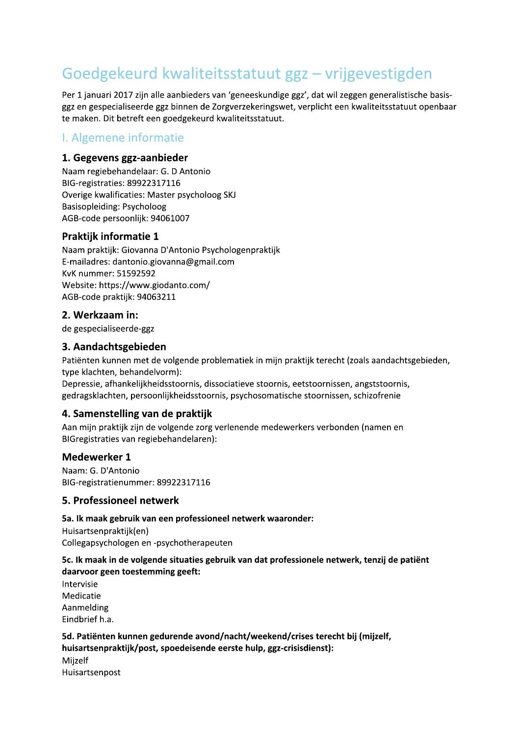# Goedgekeurd kwaliteitsstatuut ggz - vrijgevestigden

Per 1 januari 2017 zijn alle aanbieders van 'geneeskundige ggz', dat wil zeggen generalistische basisggz en gespecialiseerde ggz binnen de Zorgverzekeringswet, verplicht een kwaliteitsstatuut openbaar te maken. Dit betreft een goedgekeurd kwaliteitsstatuut.

# I. Algemene informatie

#### 1. Gegevens ggz-aanbieder

Naam regiebehandelaar: G. D Antonio BIG-registraties: 89922317116 Overige kwalificaties: Master psycholoog SKJ Basisopleiding: Psycholoog AGB-code persoonlijk: 94061007

#### **Praktijk informatie 1**

Naam praktijk: Giovanna D'Antonio Psychologenpraktijk E-mailadres: dantonio.giovanna@gmail.com **KvK nummer: 51592592** Website: https://www.giodanto.com/ AGB-code praktijk: 94063211

## 2. Werkzaam in:

de gespecialiseerde-ggz

#### 3. Aandachtsgebieden

Patiënten kunnen met de volgende problematiek in mijn praktijk terecht (zoals aandachtsgebieden, type klachten, behandelvorm):

Depressie, afhankelijkheidsstoornis, dissociatieve stoornis, eetstoornissen, angststoornis, gedragsklachten, persoonlijkheidsstoornis, psychosomatische stoornissen, schizofrenie

#### 4. Samenstelling van de praktijk

Aan mijn praktijk zijn de volgende zorg verlenende medewerkers verbonden (namen en BIGregistraties van regiebehandelaren):

#### Medewerker 1

Naam: G. D'Antonio BIG-registratienummer: 89922317116

#### 5. Professioneel netwerk

#### 5a. Ik maak gebruik van een professioneel netwerk waaronder:

Huisartsenpraktijk(en) Collegapsychologen en -psychotherapeuten

#### 5c. Ik maak in de volgende situaties gebruik van dat professionele netwerk, tenzij de patiënt daarvoor geen toestemming geeft:

Intervisie Medicatie Aanmelding Eindbrief h.a.

#### 5d. Patiënten kunnen gedurende avond/nacht/weekend/crises terecht bij (mijzelf, huisartsenpraktijk/post, spoedeisende eerste hulp, ggz-crisisdienst): Miizelf Huisartsenpost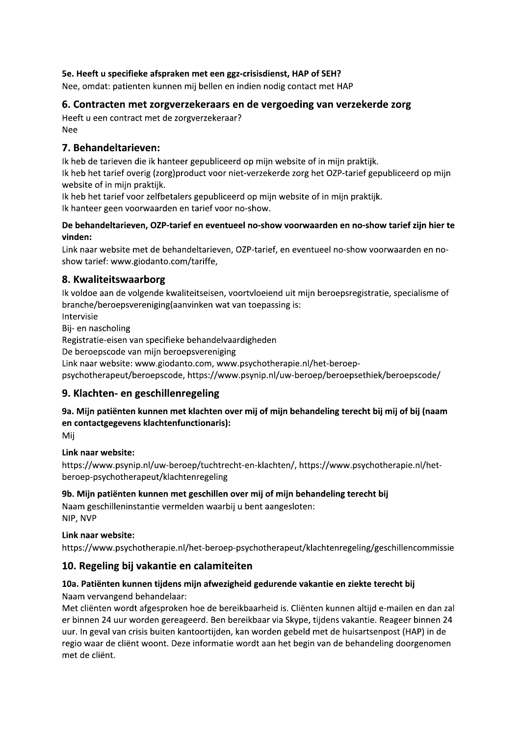#### 5e. Heeft u specifieke afspraken met een ggz-crisisdienst, HAP of SEH?

Nee, omdat: patienten kunnen mij bellen en indien nodig contact met HAP

## 6. Contracten met zorgverzekeraars en de vergoeding van verzekerde zorg

Heeft u een contract met de zorgverzekeraar? **Nee** 

#### 7. Behandeltarieven:

Ik heb de tarieven die ik hanteer gepubliceerd op mijn website of in mijn praktijk. Ik heb het tarief overig (zorg)product voor niet-verzekerde zorg het OZP-tarief gepubliceerd op mijn website of in mijn praktijk.

Ik heb het tarief voor zelfbetalers gepubliceerd op mijn website of in mijn praktijk. Ik hanteer geen voorwaarden en tarief voor no-show.

#### De behandeltarieven, OZP-tarief en eventueel no-show voorwaarden en no-show tarief zijn hier te vinden:

Link naar website met de behandeltarieven, OZP-tarief, en eventueel no-show voorwaarden en noshow tarief: www.giodanto.com/tariffe,

## 8. Kwaliteitswaarborg

Ik voldoe aan de volgende kwaliteitseisen, voortvloeiend uit mijn beroepsregistratie, specialisme of branche/beroepsvereniging(aanvinken wat van toepassing is:

Intervisie

Bij- en nascholing

Registratie-eisen van specifieke behandelvaardigheden

De beroepscode van mijn beroepsvereniging

Link naar website: www.giodanto.com, www.psychotherapie.nl/het-beroep-

psychotherapeut/beroepscode, https://www.psynip.nl/uw-beroep/beroepsethiek/beroepscode/

# 9. Klachten- en geschillenregeling

#### 9a. Mijn patiënten kunnen met klachten over mij of mijn behandeling terecht bij mij of bij (naam en contactgegevens klachtenfunctionaris):

Mij

#### Link naar website:

https://www.psynip.nl/uw-beroep/tuchtrecht-en-klachten/, https://www.psychotherapie.nl/hetberoep-psychotherapeut/klachtenregeling

#### 9b. Mijn patiënten kunnen met geschillen over mij of mijn behandeling terecht bij

Naam geschilleninstantie vermelden waarbij u bent aangesloten: NIP, NVP

#### Link naar website:

https://www.psychotherapie.nl/het-beroep-psychotherapeut/klachtenregeling/geschillencommissie

#### 10. Regeling bij vakantie en calamiteiten

#### 10a. Patiënten kunnen tijdens mijn afwezigheid gedurende vakantie en ziekte terecht bij

#### Naam vervangend behandelaar:

Met cliënten wordt afgesproken hoe de bereikbaarheid is. Cliënten kunnen altijd e-mailen en dan zal er binnen 24 uur worden gereageerd. Ben bereikbaar via Skype, tijdens vakantie. Reageer binnen 24 uur. In geval van crisis buiten kantoortijden, kan worden gebeld met de huisartsenpost (HAP) in de regio waar de cliënt woont. Deze informatie wordt aan het begin van de behandeling doorgenomen met de cliënt.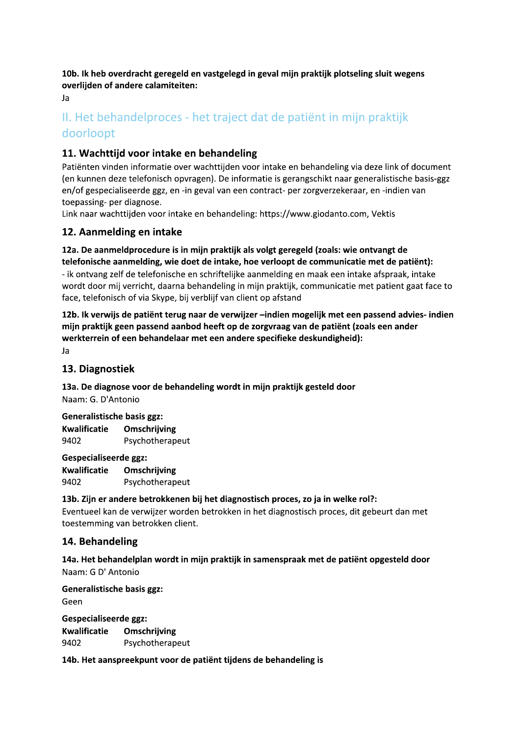10b. Ik heb overdracht geregeld en vastgelegd in geval mijn praktijk plotseling sluit wegens overlijden of andere calamiteiten:

Ja

# II. Het behandelproces - het traject dat de patiënt in mijn praktijk doorloopt

# 11. Wachttijd voor intake en behandeling

Patiënten vinden informatie over wachttijden voor intake en behandeling via deze link of document (en kunnen deze telefonisch opvragen). De informatie is gerangschikt naar generalistische basis-ggz en/of gespecialiseerde ggz, en -in geval van een contract- per zorgverzekeraar, en -indien van toepassing- per diagnose.

Link naar wachttijden voor intake en behandeling: https://www.giodanto.com, Vektis

# 12. Aanmelding en intake

12a. De aanmeldprocedure is in mijn praktijk als volgt geregeld (zoals: wie ontvangt de telefonische aanmelding, wie doet de intake, hoe verloopt de communicatie met de patiënt): - ik ontvang zelf de telefonische en schriftelijke aanmelding en maak een intake afspraak, intake wordt door mij verricht, daarna behandeling in mijn praktijk, communicatie met patient gaat face to face, telefonisch of via Skype, bij verblijf van client op afstand

12b. Ik verwijs de patiënt terug naar de verwijzer -indien mogelijk met een passend advies- indien mijn praktijk geen passend aanbod heeft op de zorgvraag van de patiënt (zoals een ander werkterrein of een behandelaar met een andere specifieke deskundigheid):

Ja

# 13. Diagnostiek

13a. De diagnose voor de behandeling wordt in mijn praktijk gesteld door Naam: G. D'Antonio

#### **Generalistische basis ggz:**

**Kwalificatie** Omschrijving 9402 Psychotherapeut

**Gespecialiseerde ggz:** Kwalificatie Omschrijving 9402 Psychotherapeut

#### 13b. Zijn er andere betrokkenen bij het diagnostisch proces, zo ja in welke rol?:

Eventueel kan de verwijzer worden betrokken in het diagnostisch proces, dit gebeurt dan met toestemming van betrokken client.

# 14. Behandeling

14a. Het behandelplan wordt in mijn praktijk in samenspraak met de patiënt opgesteld door Naam: G D' Antonio

Generalistische basis ggz: Geen Gespecialiseerde ggz:

| Kwalificatie | Omschrijving    |
|--------------|-----------------|
| 9402         | Psychotherapeut |

14b. Het aanspreekpunt voor de patiënt tijdens de behandeling is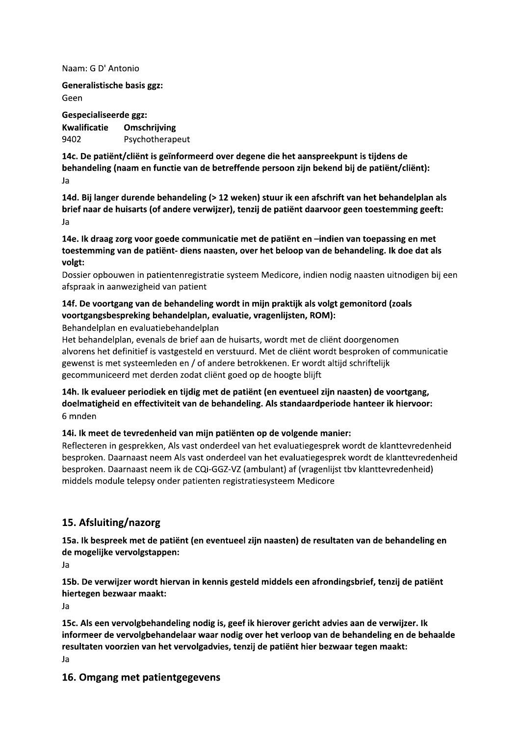Naam: G D' Antonio

Generalistische basis ggz: Geen

**Gespecialiseerde ggz: Kwalificatie** Omschrijving 9402 Psychotherapeut

14c. De patiënt/cliënt is geïnformeerd over degene die het aanspreekpunt is tijdens de behandeling (naam en functie van de betreffende persoon zijn bekend bij de patiënt/cliënt): Ja

14d. Bij langer durende behandeling (> 12 weken) stuur ik een afschrift van het behandelplan als brief naar de huisarts (of andere verwijzer), tenzij de patiënt daarvoor geen toestemming geeft: Ja

14e. Ik draag zorg voor goede communicatie met de patiënt en -indien van toepassing en met toestemming van de patiënt- diens naasten, over het beloop van de behandeling. Ik doe dat als volgt:

Dossier opbouwen in patientenregistratie systeem Medicore, indien nodig naasten uitnodigen bij een afspraak in aanwezigheid van patient

#### 14f. De voortgang van de behandeling wordt in mijn praktijk als volgt gemonitord (zoals voortgangsbespreking behandelplan, evaluatie, vragenlijsten, ROM):

Behandelplan en evaluatiebehandelplan

Het behandelplan, evenals de brief aan de huisarts, wordt met de cliënt doorgenomen alvorens het definitief is vastgesteld en verstuurd. Met de cliënt wordt besproken of communicatie gewenst is met systeemleden en / of andere betrokkenen. Er wordt altijd schriftelijk gecommuniceerd met derden zodat client goed op de hoogte blijft

14h. Ik evalueer periodiek en tijdig met de patiënt (en eventueel zijn naasten) de voortgang, doelmatigheid en effectiviteit van de behandeling. Als standaardperiode hanteer ik hiervoor: 6 mnden

14i. Ik meet de tevredenheid van mijn patiënten op de volgende manier:

Reflecteren in gesprekken, Als vast onderdeel van het evaluatiegesprek wordt de klanttevredenheid besproken. Daarnaast neem Als vast onderdeel van het evaluatiegesprek wordt de klanttevredenheid besproken. Daarnaast neem ik de CQi-GGZ-VZ (ambulant) af (vragenlijst tbv klanttevredenheid) middels module telepsy onder patienten registratiesysteem Medicore

# 15. Afsluiting/nazorg

15a. Ik bespreek met de patiënt (en eventueel zijn naasten) de resultaten van de behandeling en de mogelijke vervolgstappen:

Ja

15b. De verwijzer wordt hiervan in kennis gesteld middels een afrondingsbrief, tenzij de patiënt hiertegen bezwaar maakt:

Ja

15c. Als een vervolgbehandeling nodig is, geef ik hierover gericht advies aan de verwijzer. Ik informeer de vervolgbehandelaar waar nodig over het verloop van de behandeling en de behaalde resultaten voorzien van het vervolgadvies, tenzij de patiënt hier bezwaar tegen maakt: Ja

#### 16. Omgang met patientgegevens